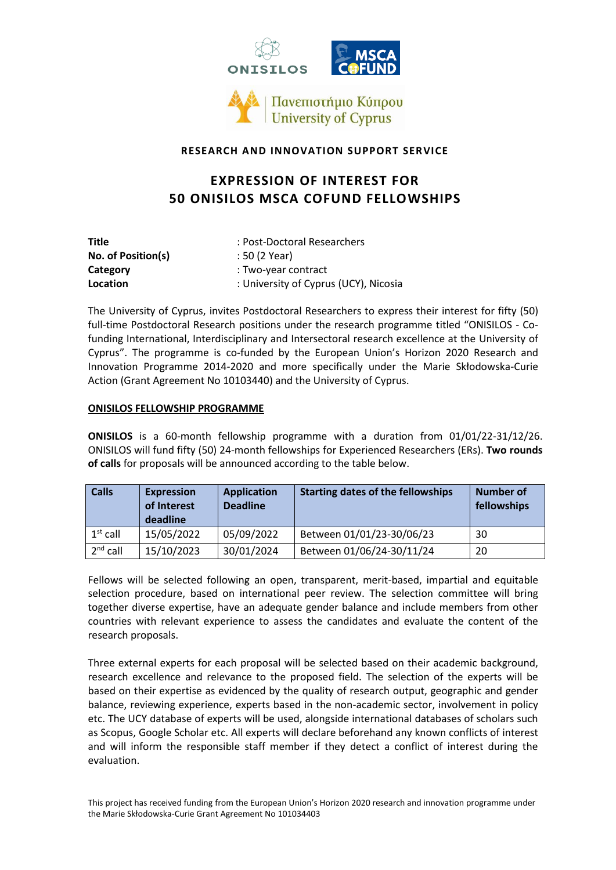



### **RESEARCH AND INNOVATION SUPPORT SERVICE**

# **EXPRESSION OF INTEREST FOR 50 ONISILOS MSCA COFUND FELLOWSHIPS**

| Title              | : Post-Doctoral Researchers           |  |
|--------------------|---------------------------------------|--|
| No. of Position(s) | : 50 (2 Year)                         |  |
| Category           | : Two-year contract                   |  |
| Location           | : University of Cyprus (UCY), Nicosia |  |

The University of Cyprus, invites Postdoctoral Researchers to express their interest for fifty (50) full-time Postdoctoral Research positions under the research programme titled "ONISILOS - Cofunding International, Interdisciplinary and Intersectoral research excellence at the University of Cyprus". The programme is co-funded by the European Union's Horizon 2020 Research and Innovation Programme 2014-2020 and more specifically under the Marie Skłodowska-Curie Action (Grant Agreement No 10103440) and the University of Cyprus.

#### **ONISILOS FELLOWSHIP PROGRAMME**

**ONISILOS** is a 60-month fellowship programme with a duration from 01/01/22-31/12/26. ONISILOS will fund fifty (50) 24-month fellowships for Experienced Researchers (ERs). **Two rounds of calls** for proposals will be announced according to the table below.

| <b>Calls</b> | <b>Expression</b><br>of Interest<br>deadline | <b>Application</b><br><b>Deadline</b> | <b>Starting dates of the fellowships</b> | <b>Number of</b><br>fellowships |
|--------------|----------------------------------------------|---------------------------------------|------------------------------------------|---------------------------------|
| $1st$ call   | 15/05/2022                                   | 05/09/2022                            | Between 01/01/23-30/06/23                | 30                              |
| $2nd$ call   | 15/10/2023                                   | 30/01/2024                            | Between 01/06/24-30/11/24                | 20                              |

Fellows will be selected following an open, transparent, merit-based, impartial and equitable selection procedure, based on international peer review. The selection committee will bring together diverse expertise, have an adequate gender balance and include members from other countries with relevant experience to assess the candidates and evaluate the content of the research proposals.

Three external experts for each proposal will be selected based on their academic background, research excellence and relevance to the proposed field. The selection of the experts will be based on their expertise as evidenced by the quality of research output, geographic and gender balance, reviewing experience, experts based in the non-academic sector, involvement in policy etc. The UCY database of experts will be used, alongside international databases of scholars such as Scopus, Google Scholar etc. All experts will declare beforehand any known conflicts of interest and will inform the responsible staff member if they detect a conflict of interest during the evaluation.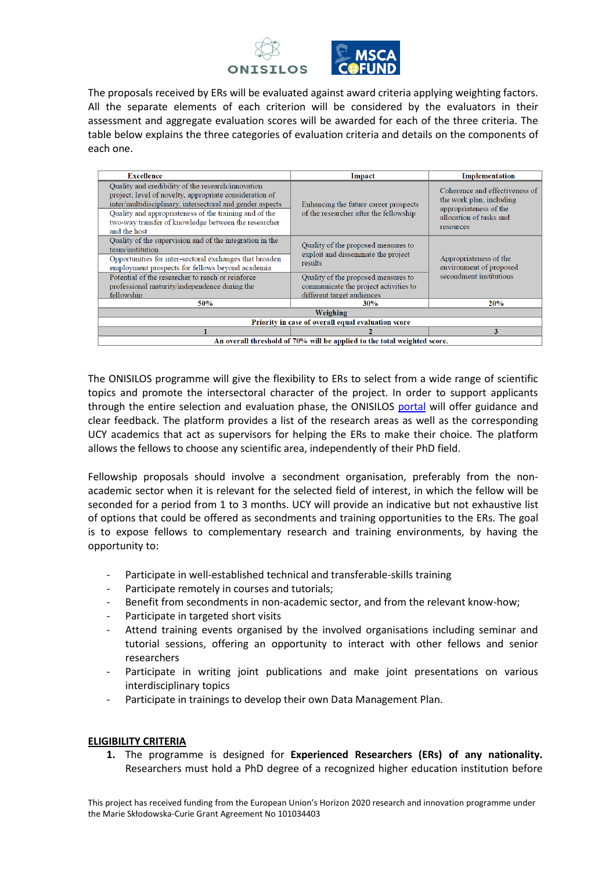



The proposals received by ERs will be evaluated against award criteria applying weighting factors. All the separate elements of each criterion will be considered by the evaluators in their assessment and aggregate evaluation scores will be awarded for each of the three criteria. The table below explains the three categories of evaluation criteria and details on the components of each one.

| <b>Excellence</b>                                                                                                                                                                                                                                                                                            | Impact                                                                                                     | Implementation                                                                                                               |  |  |  |
|--------------------------------------------------------------------------------------------------------------------------------------------------------------------------------------------------------------------------------------------------------------------------------------------------------------|------------------------------------------------------------------------------------------------------------|------------------------------------------------------------------------------------------------------------------------------|--|--|--|
| Quality and credibility of the research/innovation<br>project; level of novelty, appropriate consideration of<br>inter/multidisciplinary, intersectoral and gender aspects<br>Quality and appropriateness of the training and of the<br>two-way transfer of knowledge between the researcher<br>and the host | Enhancing the future career prospects<br>of the researcher after the fellowship                            | Coherence and effectiveness of<br>the work plan, including<br>appropriateness of the<br>allocation of tasks and<br>resources |  |  |  |
| Quality of the supervision and of the integration in the<br>team/institution<br>Opportunities for inter-sectoral exchanges that broaden<br>employment prospects for fellows beyond academia                                                                                                                  | Quality of the proposed measures to<br>exploit and disseminate the project<br>results                      | Appropriateness of the<br>environment of proposed                                                                            |  |  |  |
| Potential of the researcher to reach or reinforce<br>professional maturity/independence during the<br>fellowship                                                                                                                                                                                             | Quality of the proposed measures to<br>communicate the project activities to<br>different target audiences | secondment institutions                                                                                                      |  |  |  |
| 50%                                                                                                                                                                                                                                                                                                          | <b>30%</b>                                                                                                 | 20%                                                                                                                          |  |  |  |
| Weighing                                                                                                                                                                                                                                                                                                     |                                                                                                            |                                                                                                                              |  |  |  |
| Priority in case of overall equal evaluation score                                                                                                                                                                                                                                                           |                                                                                                            |                                                                                                                              |  |  |  |
|                                                                                                                                                                                                                                                                                                              |                                                                                                            | 3                                                                                                                            |  |  |  |
| An overall threshold of 70% will be applied to the total weighted score.                                                                                                                                                                                                                                     |                                                                                                            |                                                                                                                              |  |  |  |

The ONISILOS programme will give the flexibility to ERs to select from a wide range of scientific topics and promote the intersectoral character of the project. In order to support applicants through the entire selection and evaluation phase, the ONISILOS [portal](https://onisilos.ucy.ac.cy/home) will offer guidance and clear feedback. The platform provides a list of the research areas as well as the corresponding UCY academics that act as supervisors for helping the ERs to make their choice. The platform allows the fellows to choose any scientific area, independently of their PhD field.

Fellowship proposals should involve a secondment organisation, preferably from the nonacademic sector when it is relevant for the selected field of interest, in which the fellow will be seconded for a period from 1 to 3 months. UCY will provide an indicative but not exhaustive list of options that could be offered as secondments and training opportunities to the ERs. The goal is to expose fellows to complementary research and training environments, by having the opportunity to:

- Participate in well-established technical and transferable-skills training
- Participate remotely in courses and tutorials;
- Benefit from secondments in non-academic sector, and from the relevant know-how;
- Participate in targeted short visits
- Attend training events organised by the involved organisations including seminar and tutorial sessions, offering an opportunity to interact with other fellows and senior researchers
- Participate in writing joint publications and make joint presentations on various interdisciplinary topics
- Participate in trainings to develop their own Data Management Plan.

#### **ELIGIBILITY CRITERIA**

**1.** The programme is designed for **Experienced Researchers (ERs) of any nationality.**  Researchers must hold a PhD degree of a recognized higher education institution before

This project has received funding from the European Union's Horizon 2020 research and innovation programme under the Marie Skłodowska-Curie Grant Agreement No 101034403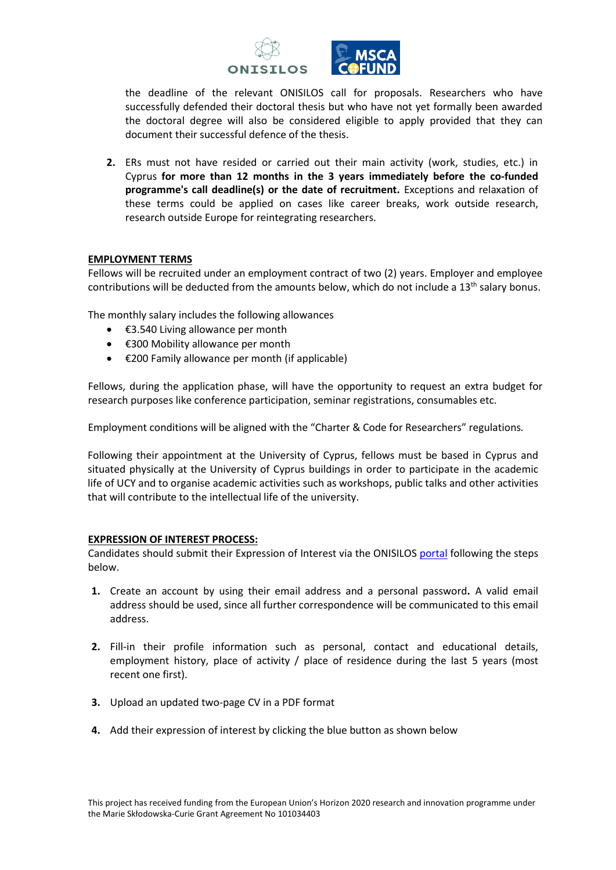



the deadline of the relevant ONISILOS call for proposals. Researchers who have successfully defended their doctoral thesis but who have not yet formally been awarded the doctoral degree will also be considered eligible to apply provided that they can document their successful defence of the thesis.

**2.** ERs must not have resided or carried out their main activity (work, studies, etc.) in Cyprus **for more than 12 months in the 3 years immediately before the co-funded programme's call deadline(s) or the date of recruitment.** Exceptions and relaxation of these terms could be applied on cases like career breaks, work outside research, research outside Europe for reintegrating researchers.

#### **EMPLOYMENT TERMS**

Fellows will be recruited under an employment contract of two (2) years. Employer and employee contributions will be deducted from the amounts below, which do not include a 13<sup>th</sup> salary bonus.

The monthly salary includes the following allowances

- €3.540 Living allowance per month
- €300 Mobility allowance per month
- $\bullet$   $\in$  200 Family allowance per month (if applicable)

Fellows, during the application phase, will have the opportunity to request an extra budget for research purposes like conference participation, seminar registrations, consumables etc.

Employment conditions will be aligned with the "Charter & Code for Researchers" regulations*.*

Following their appointment at the University of Cyprus, fellows must be based in Cyprus and situated physically at the University of Cyprus buildings in order to participate in the academic life of UCY and to organise academic activities such as workshops, public talks and other activities that will contribute to the intellectual life of the university.

#### **EXPRESSION OF INTEREST PROCESS:**

Candidates should submit their Expression of Interest via the ONISILO[S portal](https://onisilos.ucy.ac.cy/home) following the steps below.

- **1.** Create an account by using their email address and a personal password**.** A valid email address should be used, since all further correspondence will be communicated to this email address.
- **2.** Fill-in their profile information such as personal, contact and educational details, employment history, place of activity / place of residence during the last 5 years (most recent one first).
- **3.** Upload an updated two-page CV in a PDF format
- **4.** Add their expression of interest by clicking the blue button as shown below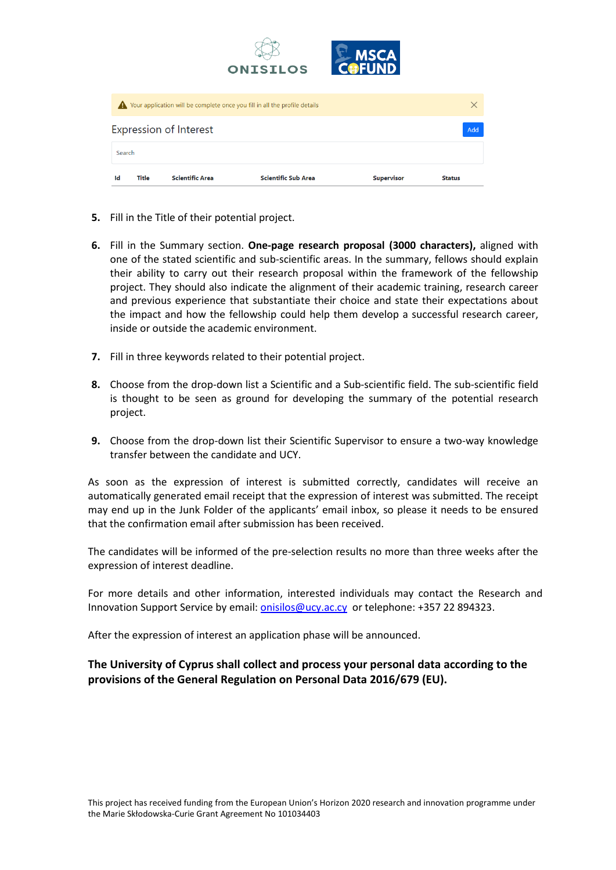| <b>Title</b><br>Ιd | <b>Scientific Area</b>        | <b>Scientific Sub Area</b>                                                 | <b>Supervisor</b>     | <b>Status</b> |
|--------------------|-------------------------------|----------------------------------------------------------------------------|-----------------------|---------------|
| Search             |                               |                                                                            |                       |               |
|                    | <b>Expression of Interest</b> |                                                                            |                       | Add           |
|                    |                               | Your application will be complete once you fill in all the profile details |                       | X             |
|                    |                               | <b>ONISILOS</b>                                                            | <b>MSCA</b><br>COFUND |               |

- **5.** Fill in the Title of their potential project.
- **6.** Fill in the Summary section. **One-page research proposal (3000 characters),** aligned with one of the stated scientific and sub-scientific areas. In the summary, fellows should explain their ability to carry out their research proposal within the framework of the fellowship project. They should also indicate the alignment of their academic training, research career and previous experience that substantiate their choice and state their expectations about the impact and how the fellowship could help them develop a successful research career, inside or outside the academic environment.
- **7.** Fill in three keywords related to their potential project.
- **8.** Choose from the drop-down list a Scientific and a Sub-scientific field. The sub-scientific field is thought to be seen as ground for developing the summary of the potential research project.
- **9.** Choose from the drop-down list their Scientific Supervisor to ensure a two-way knowledge transfer between the candidate and UCY.

As soon as the expression of interest is submitted correctly, candidates will receive an automatically generated email receipt that the expression of interest was submitted. The receipt may end up in the Junk Folder of the applicants' email inbox, so please it needs to be ensured that the confirmation email after submission has been received.

The candidates will be informed of the pre-selection results no more than three weeks after the expression of interest deadline.

For more details and other information, interested individuals may contact the Research and Innovation Support Service by email: [onisilos@ucy.ac.cy](mailto:onisilos@ucy.ac.cy) or telephone: +357 22 894323.

After the expression of interest an application phase will be announced.

## **The University of Cyprus shall collect and process your personal data according to the provisions of the General Regulation on Personal Data 2016/679 (EU).**